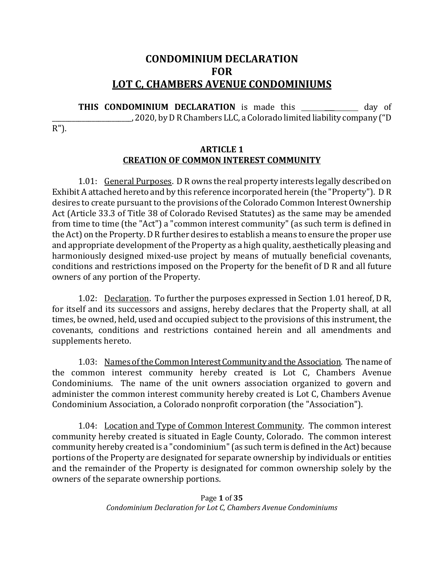# **CONDOMINIUM DECLARATION FOR LOT C, CHAMBERS AVENUE CONDOMINIUMS**

**THIS CONDOMINIUM DECLARATION** is made this \_\_\_\_\_\_\_\_\_\_\_\_\_ day of 2020, by D R Chambers LLC, a Colorado limited liability company ("D

R").

#### **ARTICLE 1 CREATION OF COMMON INTEREST COMMUNITY**

1.01: General Purposes. D R owns the real property interests legally described on Exhibit A attached hereto and by this reference incorporated herein (the "Property"). D R desires to create pursuant to the provisions of the Colorado Common Interest Ownership Act (Article 33.3 of Title 38 of Colorado Revised Statutes) as the same may be amended from time to time (the "Act") a "common interest community" (as such term is defined in the Act) on the Property. D R further desires to establish a means to ensure the proper use and appropriate development of the Property as a high quality, aesthetically pleasing and harmoniously designed mixed-use project by means of mutually beneficial covenants, conditions and restrictions imposed on the Property for the benefit of D R and all future owners of any portion of the Property.

1.02: Declaration. To further the purposes expressed in Section 1.01 hereof, D R, for itself and its successors and assigns, hereby declares that the Property shall, at all times, be owned, held, used and occupied subject to the provisions of this instrument, the covenants, conditions and restrictions contained herein and all amendments and supplements hereto.

1.03: Names of the Common Interest Community and the Association. The name of the common interest community hereby created is Lot C, Chambers Avenue Condominiums. The name of the unit owners association organized to govern and administer the common interest community hereby created is Lot C, Chambers Avenue Condominium Association, a Colorado nonprofit corporation (the "Association").

1.04: Location and Type of Common Interest Community. The common interest community hereby created is situated in Eagle County, Colorado. The common interest community hereby created is a "condominium" (as such term is defined in the Act) because portions of the Property are designated for separate ownership by individuals or entities and the remainder of the Property is designated for common ownership solely by the owners of the separate ownership portions.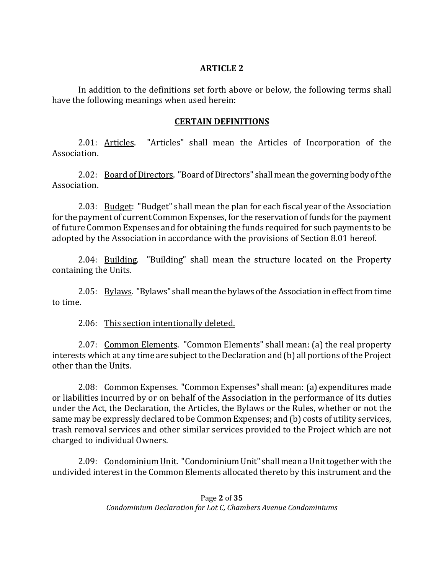#### **ARTICLE 2**

In addition to the definitions set forth above or below, the following terms shall have the following meanings when used herein:

### **CERTAIN DEFINITIONS**

2.01: Articles. "Articles" shall mean the Articles of Incorporation of the Association.

2.02: Board of Directors. "Board of Directors" shall mean the governing body of the Association.

2.03: Budget: "Budget" shall mean the plan for each fiscal year of the Association for the payment of current Common Expenses, for the reservation of funds for the payment of future Common Expenses and for obtaining the funds required for such payments to be adopted by the Association in accordance with the provisions of Section 8.01 hereof.

2.04: Building. "Building" shall mean the structure located on the Property containing the Units.

2.05: Bylaws. "Bylaws" shall mean the bylaws of the Association in effect from time to time.

2.06: This section intentionally deleted.

2.07: Common Elements. "Common Elements" shall mean: (a) the real property interests which at any time are subject to the Declaration and (b) all portions of the Project other than the Units.

2.08: Common Expenses. "Common Expenses" shall mean: (a) expenditures made or liabilities incurred by or on behalf of the Association in the performance of its duties under the Act, the Declaration, the Articles, the Bylaws or the Rules, whether or not the same may be expressly declared to be Common Expenses; and (b) costs of utility services, trash removal services and other similar services provided to the Project which are not charged to individual Owners.

2.09: Condominium Unit. "Condominium Unit" shall mean a Unit together with the undivided interest in the Common Elements allocated thereto by this instrument and the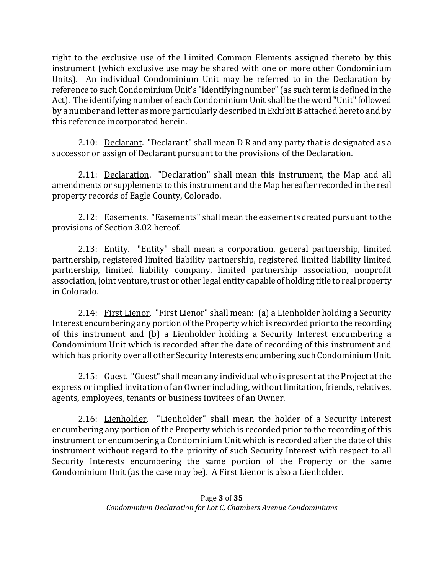right to the exclusive use of the Limited Common Elements assigned thereto by this instrument (which exclusive use may be shared with one or more other Condominium Units). An individual Condominium Unit may be referred to in the Declaration by reference to such Condominium Unit's "identifying number" (as such term is defined in the Act). The identifying number of each Condominium Unit shall be the word "Unit" followed by a number and letter as more particularly described in Exhibit B attached hereto and by this reference incorporated herein.

2.10: Declarant. "Declarant" shall mean D R and any party that is designated as a successor or assign of Declarant pursuant to the provisions of the Declaration.

2.11: Declaration. "Declaration" shall mean this instrument, the Map and all amendments or supplements to this instrument and the Map hereafter recorded in the real property records of Eagle County, Colorado.

2.12: Easements. "Easements" shall mean the easements created pursuant to the provisions of Section 3.02 hereof.

2.13: Entity. "Entity" shall mean a corporation, general partnership, limited partnership, registered limited liability partnership, registered limited liability limited partnership, limited liability company, limited partnership association, nonprofit association, joint venture, trust or other legal entity capable of holding title to real property in Colorado.

2.14: First Lienor. "First Lienor" shall mean: (a) a Lienholder holding a Security Interest encumbering any portion of the Property which is recorded prior to the recording of this instrument and (b) a Lienholder holding a Security Interest encumbering a Condominium Unit which is recorded after the date of recording of this instrument and which has priority over all other Security Interests encumbering such Condominium Unit.

2.15: Guest. "Guest" shall mean any individual who is present at the Project at the express or implied invitation of an Owner including, without limitation, friends, relatives, agents, employees, tenants or business invitees of an Owner.

2.16: Lienholder. "Lienholder" shall mean the holder of a Security Interest encumbering any portion of the Property which is recorded prior to the recording of this instrument or encumbering a Condominium Unit which is recorded after the date of this instrument without regard to the priority of such Security Interest with respect to all Security Interests encumbering the same portion of the Property or the same Condominium Unit (as the case may be). A First Lienor is also a Lienholder.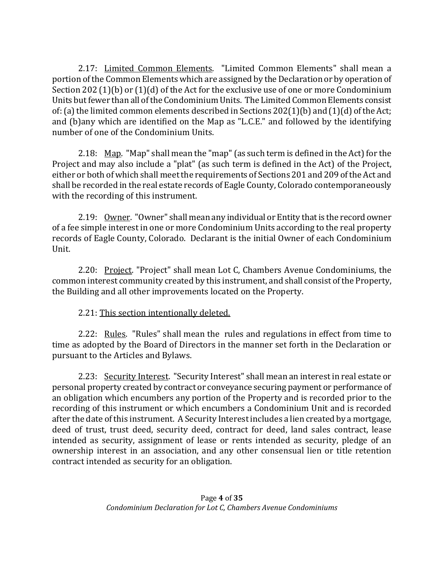2.17: Limited Common Elements. "Limited Common Elements" shall mean a portion of the Common Elements which are assigned by the Declaration or by operation of Section 202 (1)(b) or (1)(d) of the Act for the exclusive use of one or more Condominium Units but fewer than all of the Condominium Units. The Limited Common Elements consist of: (a) the limited common elements described in Sections 202(1)(b) and (1)(d) of the Act; and (b)any which are identified on the Map as "L.C.E." and followed by the identifying number of one of the Condominium Units.

2.18: Map. "Map" shall mean the "map" (as such term is defined in the Act) for the Project and may also include a "plat" (as such term is defined in the Act) of the Project, either or both of which shall meet the requirements of Sections 201 and 209 of the Act and shall be recorded in the real estate records of Eagle County, Colorado contemporaneously with the recording of this instrument.

2.19: Owner. "Owner" shall mean any individual or Entity that is the record owner of a fee simple interest in one or more Condominium Units according to the real property records of Eagle County, Colorado. Declarant is the initial Owner of each Condominium Unit.

2.20: Project. "Project" shall mean Lot C, Chambers Avenue Condominiums, the common interest community created by this instrument, and shall consist of the Property, the Building and all other improvements located on the Property.

## 2.21: This section intentionally deleted.

2.22: Rules. "Rules" shall mean the rules and regulations in effect from time to time as adopted by the Board of Directors in the manner set forth in the Declaration or pursuant to the Articles and Bylaws.

2.23: Security Interest. "Security Interest" shall mean an interest in real estate or personal property created by contract or conveyance securing payment or performance of an obligation which encumbers any portion of the Property and is recorded prior to the recording of this instrument or which encumbers a Condominium Unit and is recorded after the date of this instrument. A Security Interest includes a lien created by a mortgage, deed of trust, trust deed, security deed, contract for deed, land sales contract, lease intended as security, assignment of lease or rents intended as security, pledge of an ownership interest in an association, and any other consensual lien or title retention contract intended as security for an obligation.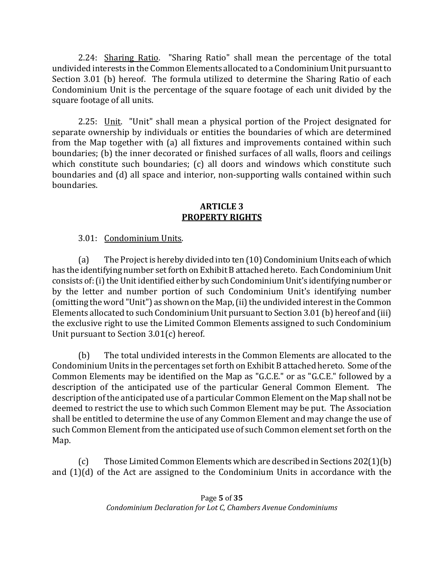2.24: Sharing Ratio. "Sharing Ratio" shall mean the percentage of the total undivided interests in the Common Elements allocated to a Condominium Unit pursuant to Section 3.01 (b) hereof. The formula utilized to determine the Sharing Ratio of each Condominium Unit is the percentage of the square footage of each unit divided by the square footage of all units.

2.25: Unit. "Unit" shall mean a physical portion of the Project designated for separate ownership by individuals or entities the boundaries of which are determined from the Map together with (a) all fixtures and improvements contained within such boundaries; (b) the inner decorated or finished surfaces of all walls, floors and ceilings which constitute such boundaries; (c) all doors and windows which constitute such boundaries and (d) all space and interior, non-supporting walls contained within such boundaries.

#### **ARTICLE 3 PROPERTY RIGHTS**

3.01: Condominium Units.

(a) The Project is hereby divided into ten (10) Condominium Units each of which has the identifying number set forth on Exhibit B attached hereto. Each Condominium Unit consists of: (i) the Unit identified either by such Condominium Unit's identifying number or by the letter and number portion of such Condominium Unit's identifying number (omitting the word "Unit") as shown on the Map, (ii) the undivided interest in the Common Elements allocated to such Condominium Unit pursuant to Section 3.01 (b) hereof and (iii) the exclusive right to use the Limited Common Elements assigned to such Condominium Unit pursuant to Section 3.01(c) hereof.

(b) The total undivided interests in the Common Elements are allocated to the Condominium Units in the percentages set forth on Exhibit B attached hereto. Some of the Common Elements may be identified on the Map as "G.C.E." or as "G.C.E." followed by a description of the anticipated use of the particular General Common Element. The description of the anticipated use of a particular Common Element on the Map shall not be deemed to restrict the use to which such Common Element may be put. The Association shall be entitled to determine the use of any Common Element and may change the use of such Common Element from the anticipated use of such Common element set forth on the Map.

(c) Those Limited Common Elements which are described in Sections 202(1)(b) and (1)(d) of the Act are assigned to the Condominium Units in accordance with the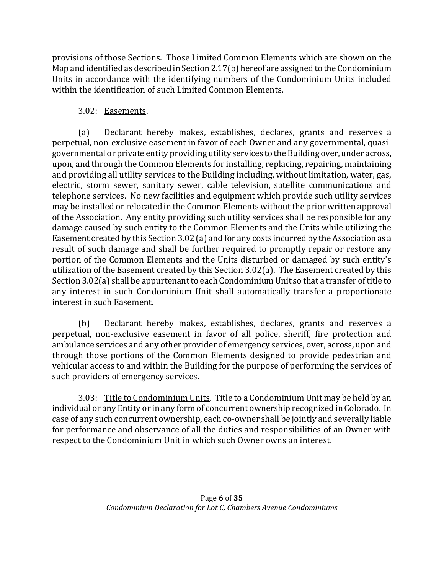provisions of those Sections. Those Limited Common Elements which are shown on the Map and identified as described in Section 2.17(b) hereof are assigned to the Condominium Units in accordance with the identifying numbers of the Condominium Units included within the identification of such Limited Common Elements.

# 3.02: Easements.

(a) Declarant hereby makes, establishes, declares, grants and reserves a perpetual, non-exclusive easement in favor of each Owner and any governmental, quasigovernmental or private entity providing utility services to the Building over, under across, upon, and through the Common Elements for installing, replacing, repairing, maintaining and providing all utility services to the Building including, without limitation, water, gas, electric, storm sewer, sanitary sewer, cable television, satellite communications and telephone services. No new facilities and equipment which provide such utility services may be installed or relocated in the Common Elements without the prior written approval of the Association. Any entity providing such utility services shall be responsible for any damage caused by such entity to the Common Elements and the Units while utilizing the Easement created by this Section 3.02 (a) and for any costs incurred by the Association as a result of such damage and shall be further required to promptly repair or restore any portion of the Common Elements and the Units disturbed or damaged by such entity's utilization of the Easement created by this Section 3.02(a). The Easement created by this Section 3.02(a) shall be appurtenant to each Condominium Unit so that a transfer of title to any interest in such Condominium Unit shall automatically transfer a proportionate interest in such Easement.

(b) Declarant hereby makes, establishes, declares, grants and reserves a perpetual, non-exclusive easement in favor of all police, sheriff, fire protection and ambulance services and any other provider of emergency services, over, across, upon and through those portions of the Common Elements designed to provide pedestrian and vehicular access to and within the Building for the purpose of performing the services of such providers of emergency services.

3.03: Title to Condominium Units. Title to a Condominium Unit may be held by an individual or any Entity or in any form of concurrent ownership recognized in Colorado. In case of any such concurrent ownership, each co-owner shall be jointly and severally liable for performance and observance of all the duties and responsibilities of an Owner with respect to the Condominium Unit in which such Owner owns an interest.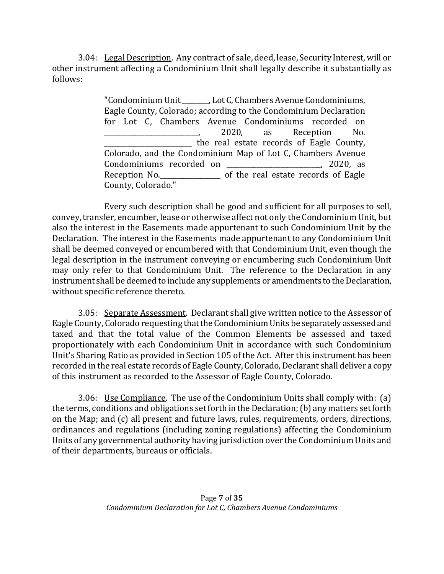3.04: Legal Description. Any contract of sale, deed, lease, Security Interest, will or other instrument affecting a Condominium Unit shall legally describe it substantially as follows:

> "Condominium Unit \_\_\_\_\_\_\_\_, Lot C, Chambers Avenue Condominiums, Eagle County, Colorado; according to the Condominium Declaration for Lot C, Chambers Avenue Condominiums recorded on \_\_\_\_\_\_\_\_\_\_\_\_\_\_\_\_\_\_\_\_\_\_\_\_\_\_\_\_, 2020, as Reception No. the real estate records of Eagle County, Colorado, and the Condominium Map of Lot C, Chambers Avenue Condominiums recorded on \_\_\_\_\_\_\_\_\_\_\_\_\_\_\_\_\_\_\_\_\_\_\_\_\_\_\_\_, 2020, as Reception No. County, Colorado."

 Every such description shall be good and sufficient for all purposes to sell, convey, transfer, encumber, lease or otherwise affect not only the Condominium Unit, but also the interest in the Easements made appurtenant to such Condominium Unit by the Declaration. The interest in the Easements made appurtenant to any Condominium Unit shall be deemed conveyed or encumbered with that Condominium Unit, even though the legal description in the instrument conveying or encumbering such Condominium Unit may only refer to that Condominium Unit. The reference to the Declaration in any instrument shall be deemed to include any supplements or amendments to the Declaration, without specific reference thereto.

3.05: Separate Assessment. Declarant shall give written notice to the Assessor of Eagle County, Colorado requesting that the Condominium Units be separately assessed and taxed and that the total value of the Common Elements be assessed and taxed proportionately with each Condominium Unit in accordance with such Condominium Unit's Sharing Ratio as provided in Section 105 of the Act. After this instrument has been recorded in the real estate records of Eagle County, Colorado, Declarant shall deliver a copy of this instrument as recorded to the Assessor of Eagle County, Colorado.

3.06: Use Compliance. The use of the Condominium Units shall comply with: (a) the terms, conditions and obligations set forth in the Declaration; (b) any matters set forth on the Map; and (c) all present and future laws, rules, requirements, orders, directions, ordinances and regulations (including zoning regulations) affecting the Condominium Units of any governmental authority having jurisdiction over the Condominium Units and of their departments, bureaus or officials.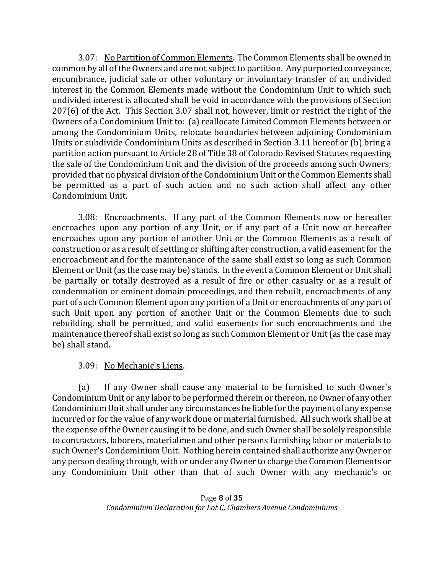3.07: No Partition of Common Elements. The Common Elements shall be owned in common by all of the Owners and are not subject to partition. Any purported conveyance, encumbrance, judicial sale or other voluntary or involuntary transfer of an undivided interest in the Common Elements made without the Condominium Unit to which such undivided interest is allocated shall be void in accordance with the provisions of Section 207(6) of the Act. This Section 3.07 shall not, however, limit or restrict the right of the Owners of a Condominium Unit to: (a) reallocate Limited Common Elements between or among the Condominium Units, relocate boundaries between adjoining Condominium Units or subdivide Condominium Units as described in Section 3.11 hereof or (b) bring a partition action pursuant to Article 28 of Title 38 of Colorado Revised Statutes requesting the sale of the Condominium Unit and the division of the proceeds among such Owners; provided that no physical division of the Condominium Unit or the Common Elements shall be permitted as a part of such action and no such action shall affect any other Condominium Unit.

3.08: Encroachments. If any part of the Common Elements now or hereafter encroaches upon any portion of any Unit, or if any part of a Unit now or hereafter encroaches upon any portion of another Unit or the Common Elements as a result of construction or as a result of settling or shifting after construction, a valid easement for the encroachment and for the maintenance of the same shall exist so long as such Common Element or Unit (as the case may be) stands. In the event a Common Element or Unit shall be partially or totally destroyed as a result of fire or other casualty or as a result of condemnation or eminent domain proceedings, and then rebuilt, encroachments of any part of such Common Element upon any portion of a Unit or encroachments of any part of such Unit upon any portion of another Unit or the Common Elements due to such rebuilding, shall be permitted, and valid easements for such encroachments and the maintenance thereof shall exist so long as such Common Element or Unit (as the case may be) shall stand.

### 3.09: No Mechanic's Liens.

(a) If any Owner shall cause any material to be furnished to such Owner's Condominium Unit or any labor to be performed therein or thereon, no Owner of any other Condominium Unit shall under any circumstances be liable for the payment of any expense incurred or for the value of any work done or material furnished. All such work shall be at the expense of the Owner causing it to be done, and such Owner shall be solely responsible to contractors, laborers, materialmen and other persons furnishing labor or materials to such Owner's Condominium Unit. Nothing herein contained shall authorize any Owner or any person dealing through, with or under any Owner to charge the Common Elements or any Condominium Unit other than that of such Owner with any mechanic's or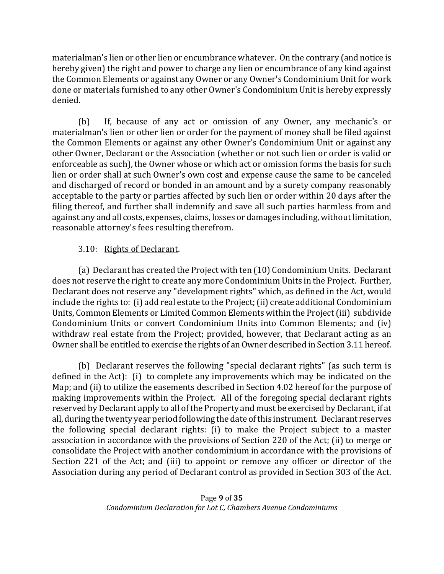materialman's lien or other lien or encumbrance whatever. On the contrary (and notice is hereby given) the right and power to charge any lien or encumbrance of any kind against the Common Elements or against any Owner or any Owner's Condominium Unit for work done or materials furnished to any other Owner's Condominium Unit is hereby expressly denied.

(b) If, because of any act or omission of any Owner, any mechanic's or materialman's lien or other lien or order for the payment of money shall be filed against the Common Elements or against any other Owner's Condominium Unit or against any other Owner, Declarant or the Association (whether or not such lien or order is valid or enforceable as such), the Owner whose or which act or omission forms the basis for such lien or order shall at such Owner's own cost and expense cause the same to be canceled and discharged of record or bonded in an amount and by a surety company reasonably acceptable to the party or parties affected by such lien or order within 20 days after the filing thereof, and further shall indemnify and save all such parties harmless from and against any and all costs, expenses, claims, losses or damages including, without limitation, reasonable attorney's fees resulting therefrom.

### 3.10: Rights of Declarant.

(a) Declarant has created the Project with ten (10) Condominium Units. Declarant does not reserve the right to create any more Condominium Units in the Project. Further, Declarant does not reserve any "development rights" which, as defined in the Act, would include the rights to: (i) add real estate to the Project; (ii) create additional Condominium Units, Common Elements or Limited Common Elements within the Project (iii) subdivide Condominium Units or convert Condominium Units into Common Elements; and (iv) withdraw real estate from the Project; provided, however, that Declarant acting as an Owner shall be entitled to exercise the rights of an Owner described in Section 3.11 hereof.

(b) Declarant reserves the following "special declarant rights" (as such term is defined in the Act): (i) to complete any improvements which may be indicated on the Map; and (ii) to utilize the easements described in Section 4.02 hereof for the purpose of making improvements within the Project. All of the foregoing special declarant rights reserved by Declarant apply to all of the Property and must be exercised by Declarant, if at all, during the twenty year period following the date of this instrument. Declarant reserves the following special declarant rights: (i) to make the Project subject to a master association in accordance with the provisions of Section 220 of the Act; (ii) to merge or consolidate the Project with another condominium in accordance with the provisions of Section 221 of the Act; and (iii) to appoint or remove any officer or director of the Association during any period of Declarant control as provided in Section 303 of the Act.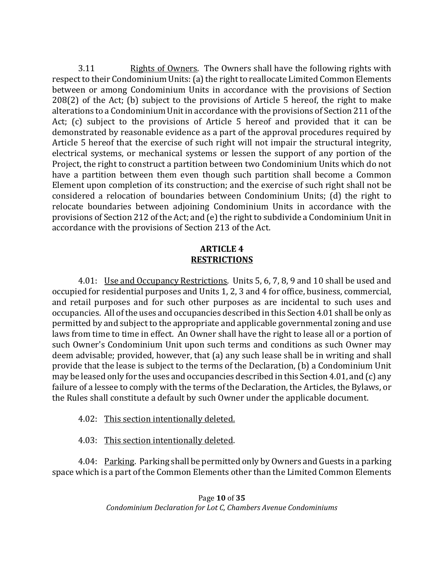3.11 Rights of Owners. The Owners shall have the following rights with respect to their Condominium Units: (a) the right to reallocate Limited Common Elements between or among Condominium Units in accordance with the provisions of Section 208(2) of the Act; (b) subject to the provisions of Article 5 hereof, the right to make alterations to a Condominium Unit in accordance with the provisions of Section 211 of the Act; (c) subject to the provisions of Article 5 hereof and provided that it can be demonstrated by reasonable evidence as a part of the approval procedures required by Article 5 hereof that the exercise of such right will not impair the structural integrity, electrical systems, or mechanical systems or lessen the support of any portion of the Project, the right to construct a partition between two Condominium Units which do not have a partition between them even though such partition shall become a Common Element upon completion of its construction; and the exercise of such right shall not be considered a relocation of boundaries between Condominium Units; (d) the right to relocate boundaries between adjoining Condominium Units in accordance with the provisions of Section 212 of the Act; and (e) the right to subdivide a Condominium Unit in accordance with the provisions of Section 213 of the Act.

#### **ARTICLE 4 RESTRICTIONS**

4.01: Use and Occupancy Restrictions. Units 5, 6, 7, 8, 9 and 10 shall be used and occupied for residential purposes and Units 1, 2, 3 and 4 for office, business, commercial, and retail purposes and for such other purposes as are incidental to such uses and occupancies. All of the uses and occupancies described in this Section 4.01 shall be only as permitted by and subject to the appropriate and applicable governmental zoning and use laws from time to time in effect. An Owner shall have the right to lease all or a portion of such Owner's Condominium Unit upon such terms and conditions as such Owner may deem advisable; provided, however, that (a) any such lease shall be in writing and shall provide that the lease is subject to the terms of the Declaration, (b) a Condominium Unit may be leased only for the uses and occupancies described in this Section 4.01, and (c) any failure of a lessee to comply with the terms of the Declaration, the Articles, the Bylaws, or the Rules shall constitute a default by such Owner under the applicable document.

### 4.02: This section intentionally deleted.

4.03: This section intentionally deleted.

4.04: Parking. Parking shall be permitted only by Owners and Guests in a parking space which is a part of the Common Elements other than the Limited Common Elements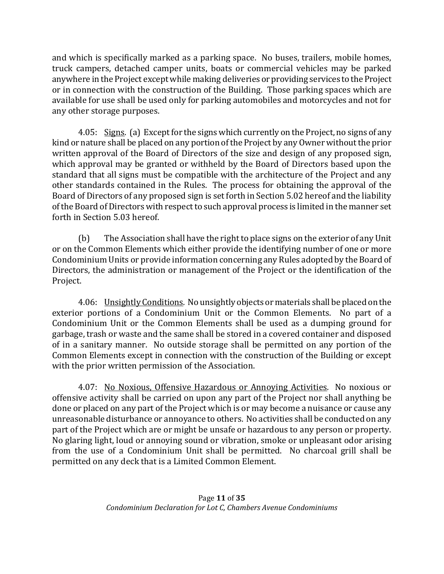and which is specifically marked as a parking space. No buses, trailers, mobile homes, truck campers, detached camper units, boats or commercial vehicles may be parked anywhere in the Project except while making deliveries or providing services to the Project or in connection with the construction of the Building. Those parking spaces which are available for use shall be used only for parking automobiles and motorcycles and not for any other storage purposes.

4.05: Signs. (a) Except for the signs which currently on the Project, no signs of any kind or nature shall be placed on any portion of the Project by any Owner without the prior written approval of the Board of Directors of the size and design of any proposed sign, which approval may be granted or withheld by the Board of Directors based upon the standard that all signs must be compatible with the architecture of the Project and any other standards contained in the Rules. The process for obtaining the approval of the Board of Directors of any proposed sign is set forth in Section 5.02 hereof and the liability of the Board of Directors with respect to such approval process is limited in the manner set forth in Section 5.03 hereof.

(b) The Association shall have the right to place signs on the exterior of any Unit or on the Common Elements which either provide the identifying number of one or more Condominium Units or provide information concerning any Rules adopted by the Board of Directors, the administration or management of the Project or the identification of the Project.

4.06: Unsightly Conditions. No unsightly objects or materials shall be placed on the exterior portions of a Condominium Unit or the Common Elements. No part of a Condominium Unit or the Common Elements shall be used as a dumping ground for garbage, trash or waste and the same shall be stored in a covered container and disposed of in a sanitary manner. No outside storage shall be permitted on any portion of the Common Elements except in connection with the construction of the Building or except with the prior written permission of the Association.

4.07: No Noxious, Offensive Hazardous or Annoying Activities. No noxious or offensive activity shall be carried on upon any part of the Project nor shall anything be done or placed on any part of the Project which is or may become a nuisance or cause any unreasonable disturbance or annoyance to others. No activities shall be conducted on any part of the Project which are or might be unsafe or hazardous to any person or property. No glaring light, loud or annoying sound or vibration, smoke or unpleasant odor arising from the use of a Condominium Unit shall be permitted. No charcoal grill shall be permitted on any deck that is a Limited Common Element.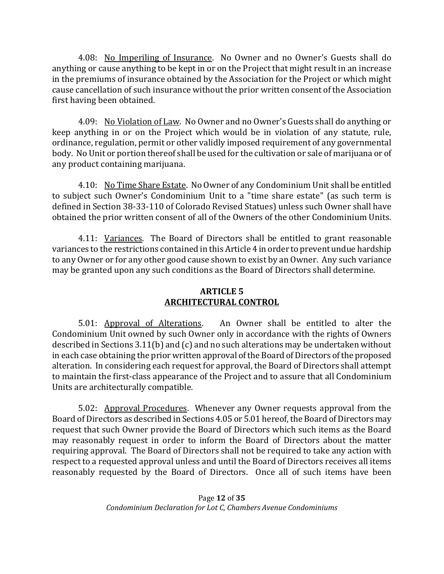4.08: No Imperiling of Insurance. No Owner and no Owner's Guests shall do anything or cause anything to be kept in or on the Project that might result in an increase in the premiums of insurance obtained by the Association for the Project or which might cause cancellation of such insurance without the prior written consent of the Association first having been obtained.

4.09: No Violation of Law. No Owner and no Owner's Guests shall do anything or keep anything in or on the Project which would be in violation of any statute, rule, ordinance, regulation, permit or other validly imposed requirement of any governmental body. No Unit or portion thereof shall be used for the cultivation or sale of marijuana or of any product containing marijuana.

4.10: No Time Share Estate. No Owner of any Condominium Unit shall be entitled to subject such Owner's Condominium Unit to a "time share estate" (as such term is defined in Section 38-33-110 of Colorado Revised Statues) unless such Owner shall have obtained the prior written consent of all of the Owners of the other Condominium Units.

4.11: Variances. The Board of Directors shall be entitled to grant reasonable variances to the restrictions contained in this Article 4 in order to prevent undue hardship to any Owner or for any other good cause shown to exist by an Owner. Any such variance may be granted upon any such conditions as the Board of Directors shall determine.

### **ARTICLE 5 ARCHITECTURAL CONTROL**

5.01: Approval of Alterations. An Owner shall be entitled to alter the Condominium Unit owned by such Owner only in accordance with the rights of Owners described in Sections 3.11(b) and (c) and no such alterations may be undertaken without in each case obtaining the prior written approval of the Board of Directors of the proposed alteration. In considering each request for approval, the Board of Directors shall attempt to maintain the first-class appearance of the Project and to assure that all Condominium Units are architecturally compatible.

5.02: Approval Procedures. Whenever any Owner requests approval from the Board of Directors as described in Sections 4.05 or 5.01 hereof, the Board of Directors may request that such Owner provide the Board of Directors which such items as the Board may reasonably request in order to inform the Board of Directors about the matter requiring approval. The Board of Directors shall not be required to take any action with respect to a requested approval unless and until the Board of Directors receives all items reasonably requested by the Board of Directors. Once all of such items have been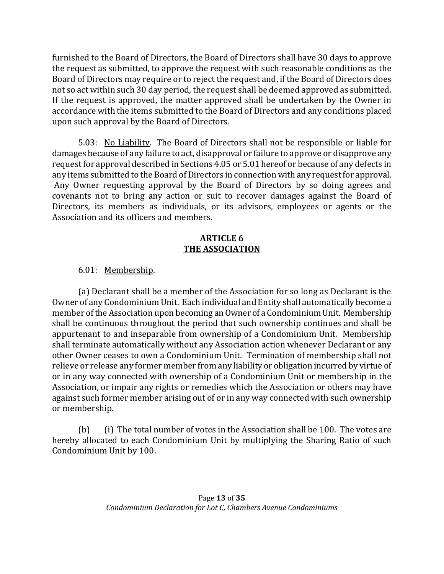furnished to the Board of Directors, the Board of Directors shall have 30 days to approve the request as submitted, to approve the request with such reasonable conditions as the Board of Directors may require or to reject the request and, if the Board of Directors does not so act within such 30 day period, the request shall be deemed approved as submitted. If the request is approved, the matter approved shall be undertaken by the Owner in accordance with the items submitted to the Board of Directors and any conditions placed upon such approval by the Board of Directors.

5.03: No Liability. The Board of Directors shall not be responsible or liable for damages because of any failure to act, disapproval or failure to approve or disapprove any request for approval described in Sections 4.05 or 5.01 hereof or because of any defects in any items submitted to the Board of Directors in connection with any request for approval. Any Owner requesting approval by the Board of Directors by so doing agrees and covenants not to bring any action or suit to recover damages against the Board of Directors, its members as individuals, or its advisors, employees or agents or the Association and its officers and members.

#### **ARTICLE 6 THE ASSOCIATION**

6.01: Membership.

(a) Declarant shall be a member of the Association for so long as Declarant is the Owner of any Condominium Unit. Each individual and Entity shall automatically become a member of the Association upon becoming an Owner of a Condominium Unit. Membership shall be continuous throughout the period that such ownership continues and shall be appurtenant to and inseparable from ownership of a Condominium Unit. Membership shall terminate automatically without any Association action whenever Declarant or any other Owner ceases to own a Condominium Unit. Termination of membership shall not relieve or release any former member from any liability or obligation incurred by virtue of or in any way connected with ownership of a Condominium Unit or membership in the Association, or impair any rights or remedies which the Association or others may have against such former member arising out of or in any way connected with such ownership or membership.

(b) (i) The total number of votes in the Association shall be 100. The votes are hereby allocated to each Condominium Unit by multiplying the Sharing Ratio of such Condominium Unit by 100.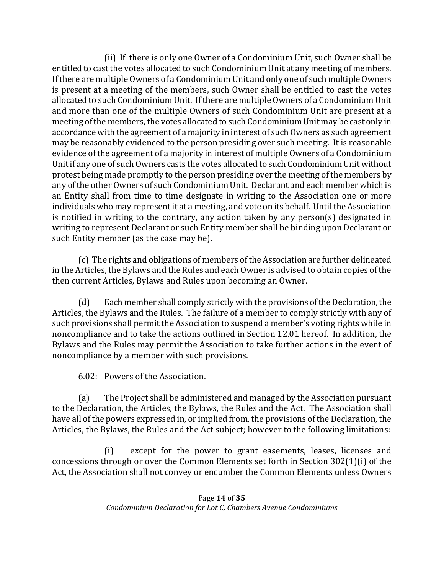(ii) If there is only one Owner of a Condominium Unit, such Owner shall be entitled to cast the votes allocated to such Condominium Unit at any meeting of members. If there are multiple Owners of a Condominium Unit and only one of such multiple Owners is present at a meeting of the members, such Owner shall be entitled to cast the votes allocated to such Condominium Unit. If there are multiple Owners of a Condominium Unit and more than one of the multiple Owners of such Condominium Unit are present at a meeting of the members, the votes allocated to such Condominium Unit may be cast only in accordance with the agreement of a majority in interest of such Owners as such agreement may be reasonably evidenced to the person presiding over such meeting. It is reasonable evidence of the agreement of a majority in interest of multiple Owners of a Condominium Unit if any one of such Owners casts the votes allocated to such Condominium Unit without protest being made promptly to the person presiding over the meeting of the members by any of the other Owners of such Condominium Unit. Declarant and each member which is an Entity shall from time to time designate in writing to the Association one or more individuals who may represent it at a meeting, and vote on its behalf. Until the Association is notified in writing to the contrary, any action taken by any person(s) designated in writing to represent Declarant or such Entity member shall be binding upon Declarant or such Entity member (as the case may be).

(c) The rights and obligations of members of the Association are further delineated in the Articles, the Bylaws and the Rules and each Owner is advised to obtain copies of the then current Articles, Bylaws and Rules upon becoming an Owner.

(d) Each member shall comply strictly with the provisions of the Declaration, the Articles, the Bylaws and the Rules. The failure of a member to comply strictly with any of such provisions shall permit the Association to suspend a member's voting rights while in noncompliance and to take the actions outlined in Section 12.01 hereof. In addition, the Bylaws and the Rules may permit the Association to take further actions in the event of noncompliance by a member with such provisions.

## 6.02: Powers of the Association.

(a) The Project shall be administered and managed by the Association pursuant to the Declaration, the Articles, the Bylaws, the Rules and the Act. The Association shall have all of the powers expressed in, or implied from, the provisions of the Declaration, the Articles, the Bylaws, the Rules and the Act subject; however to the following limitations:

(i) except for the power to grant easements, leases, licenses and concessions through or over the Common Elements set forth in Section 302(1)(i) of the Act, the Association shall not convey or encumber the Common Elements unless Owners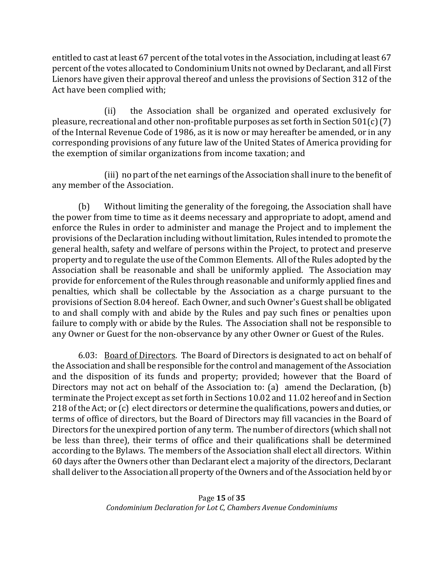entitled to cast at least 67 percent of the total votes in the Association, including at least 67 percent of the votes allocated to Condominium Units not owned by Declarant, and all First Lienors have given their approval thereof and unless the provisions of Section 312 of the Act have been complied with;

(ii) the Association shall be organized and operated exclusively for pleasure, recreational and other non-profitable purposes as set forth in Section 501(c) (7) of the Internal Revenue Code of 1986, as it is now or may hereafter be amended, or in any corresponding provisions of any future law of the United States of America providing for the exemption of similar organizations from income taxation; and

(iii) no part of the net earnings of the Association shall inure to the benefit of any member of the Association.

(b) Without limiting the generality of the foregoing, the Association shall have the power from time to time as it deems necessary and appropriate to adopt, amend and enforce the Rules in order to administer and manage the Project and to implement the provisions of the Declaration including without limitation, Rules intended to promote the general health, safety and welfare of persons within the Project, to protect and preserve property and to regulate the use of the Common Elements. All of the Rules adopted by the Association shall be reasonable and shall be uniformly applied. The Association may provide for enforcement of the Rules through reasonable and uniformly applied fines and penalties, which shall be collectable by the Association as a charge pursuant to the provisions of Section 8.04 hereof. Each Owner, and such Owner's Guest shall be obligated to and shall comply with and abide by the Rules and pay such fines or penalties upon failure to comply with or abide by the Rules. The Association shall not be responsible to any Owner or Guest for the non-observance by any other Owner or Guest of the Rules.

6.03: Board of Directors. The Board of Directors is designated to act on behalf of the Association and shall be responsible for the control and management of the Association and the disposition of its funds and property; provided; however that the Board of Directors may not act on behalf of the Association to: (a) amend the Declaration, (b) terminate the Project except as set forth in Sections 10.02 and 11.02 hereof and in Section 218 of the Act; or (c) elect directors or determine the qualifications, powers and duties, or terms of office of directors, but the Board of Directors may fill vacancies in the Board of Directors for the unexpired portion of any term. The number of directors (which shall not be less than three), their terms of office and their qualifications shall be determined according to the Bylaws. The members of the Association shall elect all directors. Within 60 days after the Owners other than Declarant elect a majority of the directors, Declarant shall deliver to the Association all property of the Owners and of the Association held by or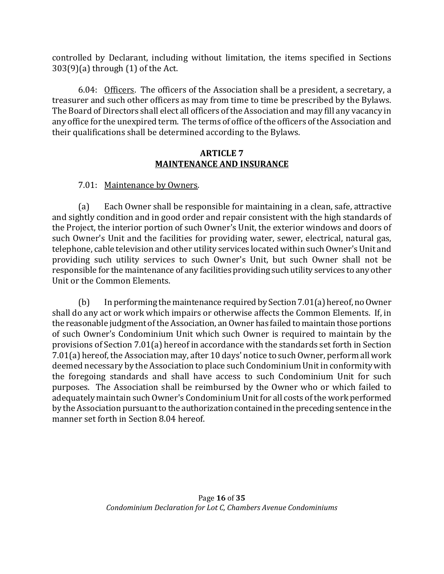controlled by Declarant, including without limitation, the items specified in Sections 303(9)(a) through (1) of the Act.

6.04: Officers. The officers of the Association shall be a president, a secretary, a treasurer and such other officers as may from time to time be prescribed by the Bylaws. The Board of Directors shall elect all officers of the Association and may fill any vacancy in any office for the unexpired term. The terms of office of the officers of the Association and their qualifications shall be determined according to the Bylaws.

#### **ARTICLE 7 MAINTENANCE AND INSURANCE**

## 7.01: Maintenance by Owners.

(a) Each Owner shall be responsible for maintaining in a clean, safe, attractive and sightly condition and in good order and repair consistent with the high standards of the Project, the interior portion of such Owner's Unit, the exterior windows and doors of such Owner's Unit and the facilities for providing water, sewer, electrical, natural gas, telephone, cable television and other utility services located within such Owner's Unit and providing such utility services to such Owner's Unit, but such Owner shall not be responsible for the maintenance of any facilities providing such utility services to any other Unit or the Common Elements.

(b) In performing the maintenance required by Section 7.01(a) hereof, no Owner shall do any act or work which impairs or otherwise affects the Common Elements. If, in the reasonable judgment of the Association, an Owner has failed to maintain those portions of such Owner's Condominium Unit which such Owner is required to maintain by the provisions of Section 7.01(a) hereof in accordance with the standards set forth in Section 7.01(a) hereof, the Association may, after 10 days' notice to such Owner, perform all work deemed necessary by the Association to place such Condominium Unit in conformity with the foregoing standards and shall have access to such Condominium Unit for such purposes. The Association shall be reimbursed by the Owner who or which failed to adequately maintain such Owner's Condominium Unit for all costs of the work performed by the Association pursuant to the authorization contained in the preceding sentence in the manner set forth in Section 8.04 hereof.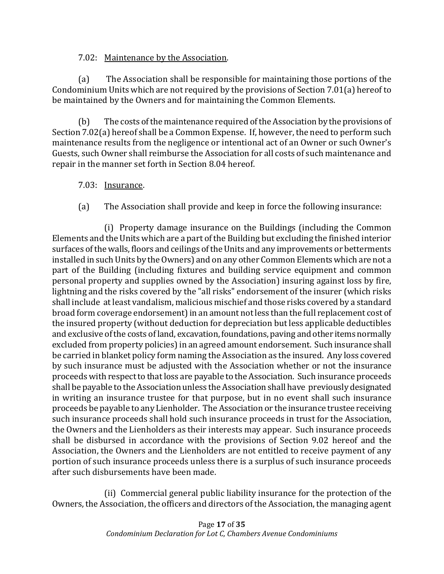### 7.02: Maintenance by the Association.

(a) The Association shall be responsible for maintaining those portions of the Condominium Units which are not required by the provisions of Section 7.01(a) hereof to be maintained by the Owners and for maintaining the Common Elements.

(b) The costs of the maintenance required of the Association by the provisions of Section 7.02(a) hereof shall be a Common Expense. If, however, the need to perform such maintenance results from the negligence or intentional act of an Owner or such Owner's Guests, such Owner shall reimburse the Association for all costs of such maintenance and repair in the manner set forth in Section 8.04 hereof.

### 7.03: Insurance.

(a) The Association shall provide and keep in force the following insurance:

(i) Property damage insurance on the Buildings (including the Common Elements and the Units which are a part of the Building but excluding the finished interior surfaces of the walls, floors and ceilings of the Units and any improvements or betterments installed in such Units by the Owners) and on any other Common Elements which are not a part of the Building (including fixtures and building service equipment and common personal property and supplies owned by the Association) insuring against loss by fire, lightning and the risks covered by the "all risks" endorsement of the insurer (which risks shall include at least vandalism, malicious mischief and those risks covered by a standard broad form coverage endorsement) in an amount not less than the full replacement cost of the insured property (without deduction for depreciation but less applicable deductibles and exclusive of the costs of land, excavation, foundations, paving and other items normally excluded from property policies) in an agreed amount endorsement. Such insurance shall be carried in blanket policy form naming the Association as the insured. Any loss covered by such insurance must be adjusted with the Association whether or not the insurance proceeds with respect to that loss are payable to the Association. Such insurance proceeds shall be payable to the Association unless the Association shall have previously designated in writing an insurance trustee for that purpose, but in no event shall such insurance proceeds be payable to any Lienholder. The Association or the insurance trustee receiving such insurance proceeds shall hold such insurance proceeds in trust for the Association, the Owners and the Lienholders as their interests may appear. Such insurance proceeds shall be disbursed in accordance with the provisions of Section 9.02 hereof and the Association, the Owners and the Lienholders are not entitled to receive payment of any portion of such insurance proceeds unless there is a surplus of such insurance proceeds after such disbursements have been made.

(ii) Commercial general public liability insurance for the protection of the Owners, the Association, the officers and directors of the Association, the managing agent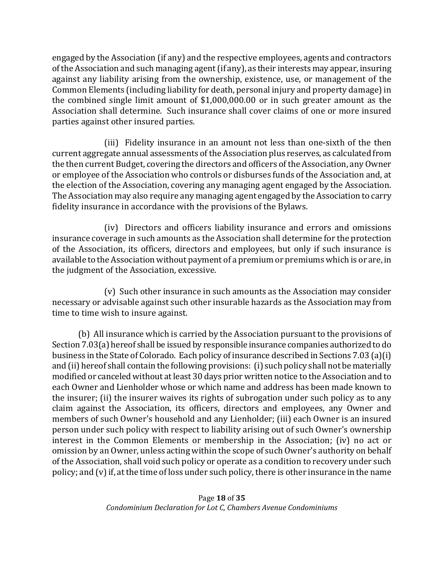engaged by the Association (if any) and the respective employees, agents and contractors of the Association and such managing agent (if any), as their interests may appear, insuring against any liability arising from the ownership, existence, use, or management of the Common Elements (including liability for death, personal injury and property damage) in the combined single limit amount of \$1,000,000.00 or in such greater amount as the Association shall determine. Such insurance shall cover claims of one or more insured parties against other insured parties.

(iii) Fidelity insurance in an amount not less than one-sixth of the then current aggregate annual assessments of the Association plus reserves, as calculated from the then current Budget, covering the directors and officers of the Association, any Owner or employee of the Association who controls or disburses funds of the Association and, at the election of the Association, covering any managing agent engaged by the Association. The Association may also require any managing agent engaged by the Association to carry fidelity insurance in accordance with the provisions of the Bylaws.

(iv) Directors and officers liability insurance and errors and omissions insurance coverage in such amounts as the Association shall determine for the protection of the Association, its officers, directors and employees, but only if such insurance is available to the Association without payment of a premium or premiums which is or are, in the judgment of the Association, excessive.

(v) Such other insurance in such amounts as the Association may consider necessary or advisable against such other insurable hazards as the Association may from time to time wish to insure against.

(b) All insurance which is carried by the Association pursuant to the provisions of Section 7.03(a) hereof shall be issued by responsible insurance companies authorized to do business in the State of Colorado. Each policy of insurance described in Sections 7.03 (a)(i) and (ii) hereof shall contain the following provisions: (i) such policy shall not be materially modified or canceled without at least 30 days prior written notice to the Association and to each Owner and Lienholder whose or which name and address has been made known to the insurer; (ii) the insurer waives its rights of subrogation under such policy as to any claim against the Association, its officers, directors and employees, any Owner and members of such Owner's household and any Lienholder; (iii) each Owner is an insured person under such policy with respect to liability arising out of such Owner's ownership interest in the Common Elements or membership in the Association; (iv) no act or omission by an Owner, unless acting within the scope of such Owner's authority on behalf of the Association, shall void such policy or operate as a condition to recovery under such policy; and (v) if, at the time of loss under such policy, there is other insurance in the name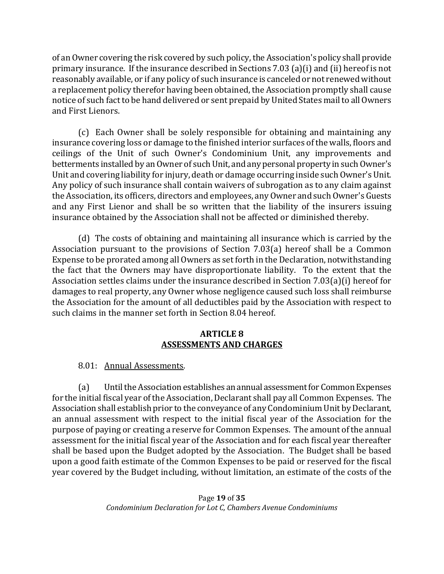of an Owner covering the risk covered by such policy, the Association's policy shall provide primary insurance. If the insurance described in Sections 7.03 (a)(i) and (ii) hereof is not reasonably available, or if any policy of such insurance is canceled or not renewed without a replacement policy therefor having been obtained, the Association promptly shall cause notice of such fact to be hand delivered or sent prepaid by United States mail to all Owners and First Lienors.

(c) Each Owner shall be solely responsible for obtaining and maintaining any insurance covering loss or damage to the finished interior surfaces of the walls, floors and ceilings of the Unit of such Owner's Condominium Unit, any improvements and betterments installed by an Owner of such Unit, and any personal property in such Owner's Unit and covering liability for injury, death or damage occurring inside such Owner's Unit. Any policy of such insurance shall contain waivers of subrogation as to any claim against the Association, its officers, directors and employees, any Owner and such Owner's Guests and any First Lienor and shall be so written that the liability of the insurers issuing insurance obtained by the Association shall not be affected or diminished thereby.

(d) The costs of obtaining and maintaining all insurance which is carried by the Association pursuant to the provisions of Section 7.03(a) hereof shall be a Common Expense to be prorated among all Owners as set forth in the Declaration, notwithstanding the fact that the Owners may have disproportionate liability. To the extent that the Association settles claims under the insurance described in Section 7.03(a)(i) hereof for damages to real property, any Owner whose negligence caused such loss shall reimburse the Association for the amount of all deductibles paid by the Association with respect to such claims in the manner set forth in Section 8.04 hereof.

#### **ARTICLE 8 ASSESSMENTS AND CHARGES**

8.01: Annual Assessments.

(a) Until the Association establishes an annual assessment for Common Expenses for the initial fiscal year of the Association, Declarant shall pay all Common Expenses. The Association shall establish prior to the conveyance of any Condominium Unit by Declarant, an annual assessment with respect to the initial fiscal year of the Association for the purpose of paying or creating a reserve for Common Expenses. The amount of the annual assessment for the initial fiscal year of the Association and for each fiscal year thereafter shall be based upon the Budget adopted by the Association. The Budget shall be based upon a good faith estimate of the Common Expenses to be paid or reserved for the fiscal year covered by the Budget including, without limitation, an estimate of the costs of the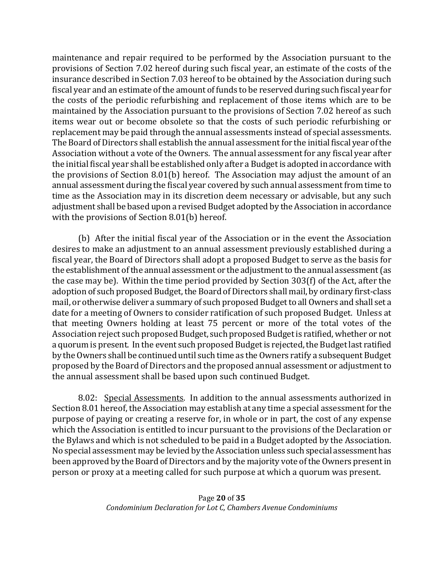maintenance and repair required to be performed by the Association pursuant to the provisions of Section 7.02 hereof during such fiscal year, an estimate of the costs of the insurance described in Section 7.03 hereof to be obtained by the Association during such fiscal year and an estimate of the amount of funds to be reserved during such fiscal year for the costs of the periodic refurbishing and replacement of those items which are to be maintained by the Association pursuant to the provisions of Section 7.02 hereof as such items wear out or become obsolete so that the costs of such periodic refurbishing or replacement may be paid through the annual assessments instead of special assessments. The Board of Directors shall establish the annual assessment for the initial fiscal year of the Association without a vote of the Owners. The annual assessment for any fiscal year after the initial fiscal year shall be established only after a Budget is adopted in accordance with the provisions of Section 8.01(b) hereof. The Association may adjust the amount of an annual assessment during the fiscal year covered by such annual assessment from time to time as the Association may in its discretion deem necessary or advisable, but any such adjustment shall be based upon a revised Budget adopted by the Association in accordance with the provisions of Section 8.01(b) hereof.

(b) After the initial fiscal year of the Association or in the event the Association desires to make an adjustment to an annual assessment previously established during a fiscal year, the Board of Directors shall adopt a proposed Budget to serve as the basis for the establishment of the annual assessment or the adjustment to the annual assessment (as the case may be). Within the time period provided by Section 303(f) of the Act, after the adoption of such proposed Budget, the Board of Directors shall mail, by ordinary first-class mail, or otherwise deliver a summary of such proposed Budget to all Owners and shall set a date for a meeting of Owners to consider ratification of such proposed Budget. Unless at that meeting Owners holding at least 75 percent or more of the total votes of the Association reject such proposed Budget, such proposed Budget is ratified, whether or not a quorum is present. In the event such proposed Budget is rejected, the Budget last ratified by the Owners shall be continued until such time as the Owners ratify a subsequent Budget proposed by the Board of Directors and the proposed annual assessment or adjustment to the annual assessment shall be based upon such continued Budget.

8.02: Special Assessments. In addition to the annual assessments authorized in Section 8.01 hereof, the Association may establish at any time a special assessment for the purpose of paying or creating a reserve for, in whole or in part, the cost of any expense which the Association is entitled to incur pursuant to the provisions of the Declaration or the Bylaws and which is not scheduled to be paid in a Budget adopted by the Association. No special assessment may be levied by the Association unless such special assessment has been approved by the Board of Directors and by the majority vote of the Owners present in person or proxy at a meeting called for such purpose at which a quorum was present.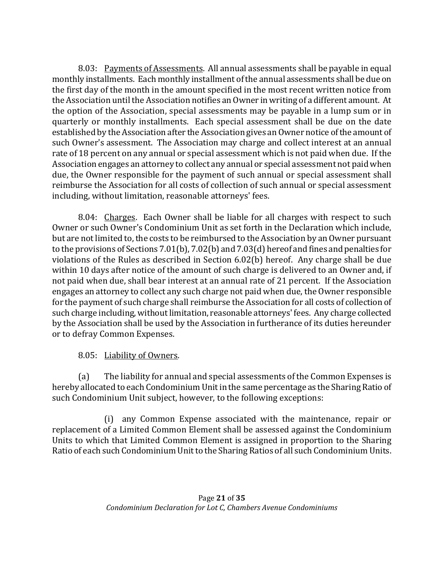8.03: Payments of Assessments. All annual assessments shall be payable in equal monthly installments. Each monthly installment of the annual assessments shall be due on the first day of the month in the amount specified in the most recent written notice from the Association until the Association notifies an Owner in writing of a different amount. At the option of the Association, special assessments may be payable in a lump sum or in quarterly or monthly installments. Each special assessment shall be due on the date established by the Association after the Association gives an Owner notice of the amount of such Owner's assessment. The Association may charge and collect interest at an annual rate of 18 percent on any annual or special assessment which is not paid when due. If the Association engages an attorney to collect any annual or special assessment not paid when due, the Owner responsible for the payment of such annual or special assessment shall reimburse the Association for all costs of collection of such annual or special assessment including, without limitation, reasonable attorneys' fees.

8.04: Charges. Each Owner shall be liable for all charges with respect to such Owner or such Owner's Condominium Unit as set forth in the Declaration which include, but are not limited to, the costs to be reimbursed to the Association by an Owner pursuant to the provisions of Sections 7.01(b), 7.02(b) and 7.03(d) hereof and fines and penalties for violations of the Rules as described in Section 6.02(b) hereof. Any charge shall be due within 10 days after notice of the amount of such charge is delivered to an Owner and, if not paid when due, shall bear interest at an annual rate of 21 percent. If the Association engages an attorney to collect any such charge not paid when due, the Owner responsible for the payment of such charge shall reimburse the Association for all costs of collection of such charge including, without limitation, reasonable attorneys' fees. Any charge collected by the Association shall be used by the Association in furtherance of its duties hereunder or to defray Common Expenses.

## 8.05: Liability of Owners.

(a) The liability for annual and special assessments of the Common Expenses is hereby allocated to each Condominium Unit in the same percentage as the Sharing Ratio of such Condominium Unit subject, however, to the following exceptions:

(i) any Common Expense associated with the maintenance, repair or replacement of a Limited Common Element shall be assessed against the Condominium Units to which that Limited Common Element is assigned in proportion to the Sharing Ratio of each such Condominium Unit to the Sharing Ratios of all such Condominium Units.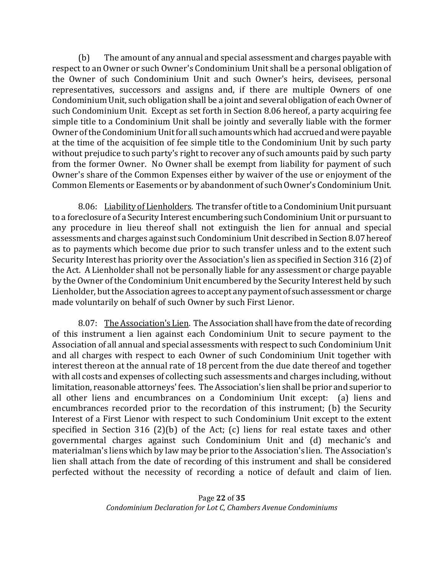(b) The amount of any annual and special assessment and charges payable with respect to an Owner or such Owner's Condominium Unit shall be a personal obligation of the Owner of such Condominium Unit and such Owner's heirs, devisees, personal representatives, successors and assigns and, if there are multiple Owners of one Condominium Unit, such obligation shall be a joint and several obligation of each Owner of such Condominium Unit. Except as set forth in Section 8.06 hereof, a party acquiring fee simple title to a Condominium Unit shall be jointly and severally liable with the former Owner of the Condominium Unit for all such amounts which had accrued and were payable at the time of the acquisition of fee simple title to the Condominium Unit by such party without prejudice to such party's right to recover any of such amounts paid by such party from the former Owner. No Owner shall be exempt from liability for payment of such Owner's share of the Common Expenses either by waiver of the use or enjoyment of the Common Elements or Easements or by abandonment of such Owner's Condominium Unit.

8.06: Liability of Lienholders. The transfer of title to a Condominium Unit pursuant to a foreclosure of a Security Interest encumbering such Condominium Unit or pursuant to any procedure in lieu thereof shall not extinguish the lien for annual and special assessments and charges against such Condominium Unit described in Section 8.07 hereof as to payments which become due prior to such transfer unless and to the extent such Security Interest has priority over the Association's lien as specified in Section 316 (2) of the Act. A Lienholder shall not be personally liable for any assessment or charge payable by the Owner of the Condominium Unit encumbered by the Security Interest held by such Lienholder, but the Association agrees to accept any payment of such assessment or charge made voluntarily on behalf of such Owner by such First Lienor.

8.07: The Association's Lien. The Association shall have from the date of recording of this instrument a lien against each Condominium Unit to secure payment to the Association of all annual and special assessments with respect to such Condominium Unit and all charges with respect to each Owner of such Condominium Unit together with interest thereon at the annual rate of 18 percent from the due date thereof and together with all costs and expenses of collecting such assessments and charges including, without limitation, reasonable attorneys' fees. The Association's lien shall be prior and superior to all other liens and encumbrances on a Condominium Unit except: (a) liens and encumbrances recorded prior to the recordation of this instrument; (b) the Security Interest of a First Lienor with respect to such Condominium Unit except to the extent specified in Section 316 (2)(b) of the Act; (c) liens for real estate taxes and other governmental charges against such Condominium Unit and (d) mechanic's and materialman's liens which by law may be prior to the Association's lien. The Association's lien shall attach from the date of recording of this instrument and shall be considered perfected without the necessity of recording a notice of default and claim of lien.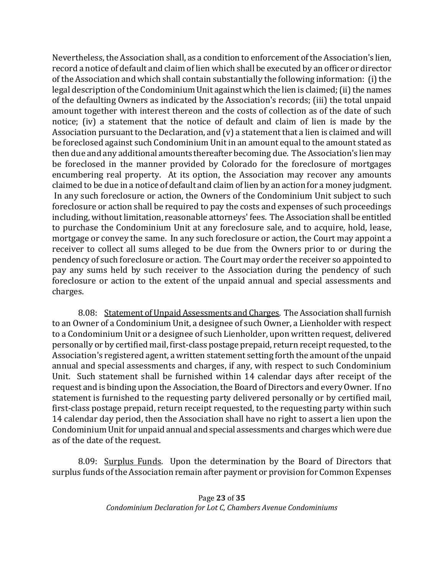Nevertheless, the Association shall, as a condition to enforcement of the Association's lien, record a notice of default and claim of lien which shall be executed by an officer or director of the Association and which shall contain substantially the following information: (i) the legal description of the Condominium Unit against which the lien is claimed; (ii) the names of the defaulting Owners as indicated by the Association's records; (iii) the total unpaid amount together with interest thereon and the costs of collection as of the date of such notice; (iv) a statement that the notice of default and claim of lien is made by the Association pursuant to the Declaration, and (v) a statement that a lien is claimed and will be foreclosed against such Condominium Unit in an amount equal to the amount stated as then due and any additional amounts thereafter becoming due. The Association's lien may be foreclosed in the manner provided by Colorado for the foreclosure of mortgages encumbering real property. At its option, the Association may recover any amounts claimed to be due in a notice of default and claim of lien by an action for a money judgment. In any such foreclosure or action, the Owners of the Condominium Unit subject to such foreclosure or action shall be required to pay the costs and expenses of such proceedings including, without limitation, reasonable attorneys' fees. The Association shall be entitled to purchase the Condominium Unit at any foreclosure sale, and to acquire, hold, lease, mortgage or convey the same. In any such foreclosure or action, the Court may appoint a receiver to collect all sums alleged to be due from the Owners prior to or during the pendency of such foreclosure or action. The Court may order the receiver so appointed to pay any sums held by such receiver to the Association during the pendency of such foreclosure or action to the extent of the unpaid annual and special assessments and charges.

8.08: Statement of Unpaid Assessments and Charges. The Association shall furnish to an Owner of a Condominium Unit, a designee of such Owner, a Lienholder with respect to a Condominium Unit or a designee of such Lienholder, upon written request, delivered personally or by certified mail, first-class postage prepaid, return receipt requested, to the Association's registered agent, a written statement setting forth the amount of the unpaid annual and special assessments and charges, if any, with respect to such Condominium Unit. Such statement shall be furnished within 14 calendar days after receipt of the request and is binding upon the Association, the Board of Directors and every Owner. If no statement is furnished to the requesting party delivered personally or by certified mail, first-class postage prepaid, return receipt requested, to the requesting party within such 14 calendar day period, then the Association shall have no right to assert a lien upon the Condominium Unit for unpaid annual and special assessments and charges which were due as of the date of the request.

8.09: Surplus Funds. Upon the determination by the Board of Directors that surplus funds of the Association remain after payment or provision for Common Expenses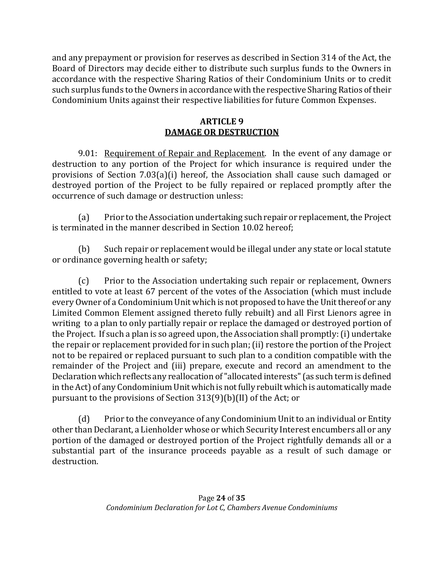and any prepayment or provision for reserves as described in Section 314 of the Act, the Board of Directors may decide either to distribute such surplus funds to the Owners in accordance with the respective Sharing Ratios of their Condominium Units or to credit such surplus funds to the Owners in accordance with the respective Sharing Ratios of their Condominium Units against their respective liabilities for future Common Expenses.

### **ARTICLE 9 DAMAGE OR DESTRUCTION**

9.01: Requirement of Repair and Replacement. In the event of any damage or destruction to any portion of the Project for which insurance is required under the provisions of Section 7.03(a)(i) hereof, the Association shall cause such damaged or destroyed portion of the Project to be fully repaired or replaced promptly after the occurrence of such damage or destruction unless:

(a) Prior to the Association undertaking such repair or replacement, the Project is terminated in the manner described in Section 10.02 hereof;

(b) Such repair or replacement would be illegal under any state or local statute or ordinance governing health or safety;

(c) Prior to the Association undertaking such repair or replacement, Owners entitled to vote at least 67 percent of the votes of the Association (which must include every Owner of a Condominium Unit which is not proposed to have the Unit thereof or any Limited Common Element assigned thereto fully rebuilt) and all First Lienors agree in writing to a plan to only partially repair or replace the damaged or destroyed portion of the Project. If such a plan is so agreed upon, the Association shall promptly: (i) undertake the repair or replacement provided for in such plan; (ii) restore the portion of the Project not to be repaired or replaced pursuant to such plan to a condition compatible with the remainder of the Project and (iii) prepare, execute and record an amendment to the Declaration which reflects any reallocation of "allocated interests" (as such term is defined in the Act) of any Condominium Unit which is not fully rebuilt which is automatically made pursuant to the provisions of Section 313(9)(b)(II) of the Act; or

(d) Prior to the conveyance of any Condominium Unit to an individual or Entity other than Declarant, a Lienholder whose or which Security Interest encumbers all or any portion of the damaged or destroyed portion of the Project rightfully demands all or a substantial part of the insurance proceeds payable as a result of such damage or destruction.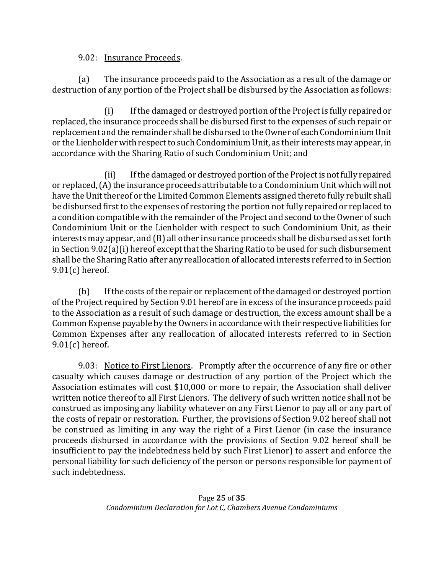#### 9.02: Insurance Proceeds.

(a) The insurance proceeds paid to the Association as a result of the damage or destruction of any portion of the Project shall be disbursed by the Association as follows:

(i) If the damaged or destroyed portion of the Project is fully repaired or replaced, the insurance proceeds shall be disbursed first to the expenses of such repair or replacement and the remainder shall be disbursed to the Owner of each Condominium Unit or the Lienholder with respect to such Condominium Unit, as their interests may appear, in accordance with the Sharing Ratio of such Condominium Unit; and

(ii) If the damaged or destroyed portion of the Project is not fully repaired or replaced, (A) the insurance proceeds attributable to a Condominium Unit which will not have the Unit thereof or the Limited Common Elements assigned thereto fully rebuilt shall be disbursed first to the expenses of restoring the portion not fully repaired or replaced to a condition compatible with the remainder of the Project and second to the Owner of such Condominium Unit or the Lienholder with respect to such Condominium Unit, as their interests may appear, and (B) all other insurance proceeds shall be disbursed as set forth in Section 9.02(a)(i) hereof except that the Sharing Ratio to be used for such disbursement shall be the Sharing Ratio after any reallocation of allocated interests referred to in Section 9.01(c) hereof.

(b) If the costs of the repair or replacement of the damaged or destroyed portion of the Project required by Section 9.01 hereof are in excess of the insurance proceeds paid to the Association as a result of such damage or destruction, the excess amount shall be a Common Expense payable by the Owners in accordance with their respective liabilities for Common Expenses after any reallocation of allocated interests referred to in Section 9.01(c) hereof.

9.03: Notice to First Lienors. Promptly after the occurrence of any fire or other casualty which causes damage or destruction of any portion of the Project which the Association estimates will cost \$10,000 or more to repair, the Association shall deliver written notice thereof to all First Lienors. The delivery of such written notice shall not be construed as imposing any liability whatever on any First Lienor to pay all or any part of the costs of repair or restoration. Further, the provisions of Section 9.02 hereof shall not be construed as limiting in any way the right of a First Lienor (in case the insurance proceeds disbursed in accordance with the provisions of Section 9.02 hereof shall be insufficient to pay the indebtedness held by such First Lienor) to assert and enforce the personal liability for such deficiency of the person or persons responsible for payment of such indebtedness.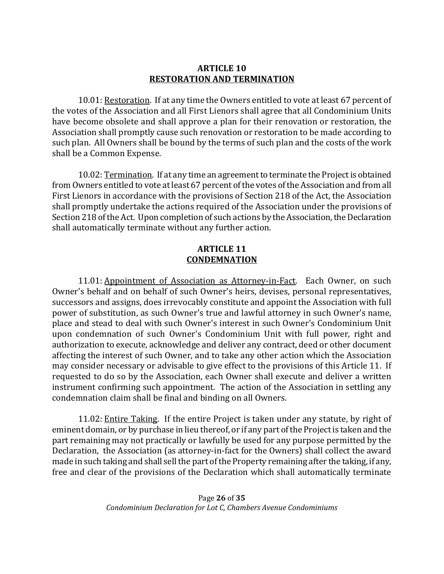#### **ARTICLE 10 RESTORATION AND TERMINATION**

10.01: Restoration. If at any time the Owners entitled to vote at least 67 percent of the votes of the Association and all First Lienors shall agree that all Condominium Units have become obsolete and shall approve a plan for their renovation or restoration, the Association shall promptly cause such renovation or restoration to be made according to such plan. All Owners shall be bound by the terms of such plan and the costs of the work shall be a Common Expense.

10.02: Termination. If at any time an agreement to terminate the Project is obtained from Owners entitled to vote at least 67 percent of the votes of the Association and from all First Lienors in accordance with the provisions of Section 218 of the Act, the Association shall promptly undertake the actions required of the Association under the provisions of Section 218 of the Act. Upon completion of such actions by the Association, the Declaration shall automatically terminate without any further action.

#### **ARTICLE 11 CONDEMNATION**

11.01: Appointment of Association as Attorney-in-Fact. Each Owner, on such Owner's behalf and on behalf of such Owner's heirs, devises, personal representatives, successors and assigns, does irrevocably constitute and appoint the Association with full power of substitution, as such Owner's true and lawful attorney in such Owner's name, place and stead to deal with such Owner's interest in such Owner's Condominium Unit upon condemnation of such Owner's Condominium Unit with full power, right and authorization to execute, acknowledge and deliver any contract, deed or other document affecting the interest of such Owner, and to take any other action which the Association may consider necessary or advisable to give effect to the provisions of this Article 11. If requested to do so by the Association, each Owner shall execute and deliver a written instrument confirming such appointment. The action of the Association in settling any condemnation claim shall be final and binding on all Owners.

11.02: Entire Taking. If the entire Project is taken under any statute, by right of eminent domain, or by purchase in lieu thereof, or if any part of the Project is taken and the part remaining may not practically or lawfully be used for any purpose permitted by the Declaration, the Association (as attorney-in-fact for the Owners) shall collect the award made in such taking and shall sell the part of the Property remaining after the taking, if any, free and clear of the provisions of the Declaration which shall automatically terminate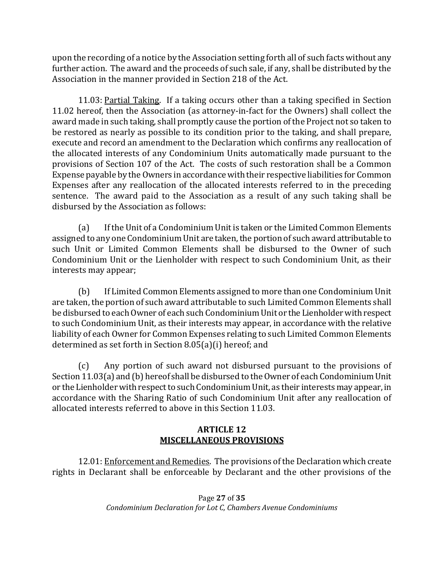upon the recording of a notice by the Association setting forth all of such facts without any further action. The award and the proceeds of such sale, if any, shall be distributed by the Association in the manner provided in Section 218 of the Act.

11.03: Partial Taking. If a taking occurs other than a taking specified in Section 11.02 hereof, then the Association (as attorney-in-fact for the Owners) shall collect the award made in such taking, shall promptly cause the portion of the Project not so taken to be restored as nearly as possible to its condition prior to the taking, and shall prepare, execute and record an amendment to the Declaration which confirms any reallocation of the allocated interests of any Condominium Units automatically made pursuant to the provisions of Section 107 of the Act. The costs of such restoration shall be a Common Expense payable by the Owners in accordance with their respective liabilities for Common Expenses after any reallocation of the allocated interests referred to in the preceding sentence. The award paid to the Association as a result of any such taking shall be disbursed by the Association as follows:

(a) If the Unit of a Condominium Unit is taken or the Limited Common Elements assigned to any one Condominium Unit are taken, the portion of such award attributable to such Unit or Limited Common Elements shall be disbursed to the Owner of such Condominium Unit or the Lienholder with respect to such Condominium Unit, as their interests may appear;

(b) If Limited Common Elements assigned to more than one Condominium Unit are taken, the portion of such award attributable to such Limited Common Elements shall be disbursed to each Owner of each such Condominium Unit or the Lienholder with respect to such Condominium Unit, as their interests may appear, in accordance with the relative liability of each Owner for Common Expenses relating to such Limited Common Elements determined as set forth in Section 8.05(a)(i) hereof; and

(c) Any portion of such award not disbursed pursuant to the provisions of Section 11.03(a) and (b) hereof shall be disbursed to the Owner of each Condominium Unit or the Lienholder with respect to such Condominium Unit, as their interests may appear, in accordance with the Sharing Ratio of such Condominium Unit after any reallocation of allocated interests referred to above in this Section 11.03.

### **ARTICLE 12 MISCELLANEOUS PROVISIONS**

12.01: Enforcement and Remedies. The provisions of the Declaration which create rights in Declarant shall be enforceable by Declarant and the other provisions of the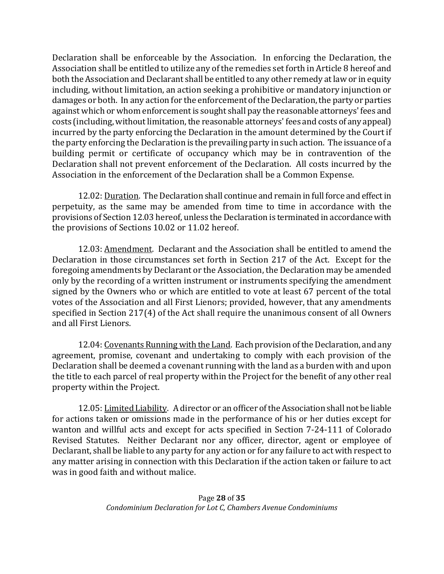Declaration shall be enforceable by the Association. In enforcing the Declaration, the Association shall be entitled to utilize any of the remedies set forth in Article 8 hereof and both the Association and Declarant shall be entitled to any other remedy at law or in equity including, without limitation, an action seeking a prohibitive or mandatory injunction or damages or both. In any action for the enforcement of the Declaration, the party or parties against which or whom enforcement is sought shall pay the reasonable attorneys' fees and costs (including, without limitation, the reasonable attorneys' fees and costs of any appeal) incurred by the party enforcing the Declaration in the amount determined by the Court if the party enforcing the Declaration is the prevailing party in such action. The issuance of a building permit or certificate of occupancy which may be in contravention of the Declaration shall not prevent enforcement of the Declaration. All costs incurred by the Association in the enforcement of the Declaration shall be a Common Expense.

12.02: Duration. The Declaration shall continue and remain in full force and effect in perpetuity, as the same may be amended from time to time in accordance with the provisions of Section 12.03 hereof, unless the Declaration is terminated in accordance with the provisions of Sections 10.02 or 11.02 hereof.

12.03: Amendment. Declarant and the Association shall be entitled to amend the Declaration in those circumstances set forth in Section 217 of the Act. Except for the foregoing amendments by Declarant or the Association, the Declaration may be amended only by the recording of a written instrument or instruments specifying the amendment signed by the Owners who or which are entitled to vote at least 67 percent of the total votes of the Association and all First Lienors; provided, however, that any amendments specified in Section 217(4) of the Act shall require the unanimous consent of all Owners and all First Lienors.

12.04: Covenants Running with the Land. Each provision of the Declaration, and any agreement, promise, covenant and undertaking to comply with each provision of the Declaration shall be deemed a covenant running with the land as a burden with and upon the title to each parcel of real property within the Project for the benefit of any other real property within the Project.

12.05: Limited Liability. A director or an officer of the Association shall not be liable for actions taken or omissions made in the performance of his or her duties except for wanton and willful acts and except for acts specified in Section 7-24-111 of Colorado Revised Statutes. Neither Declarant nor any officer, director, agent or employee of Declarant, shall be liable to any party for any action or for any failure to act with respect to any matter arising in connection with this Declaration if the action taken or failure to act was in good faith and without malice.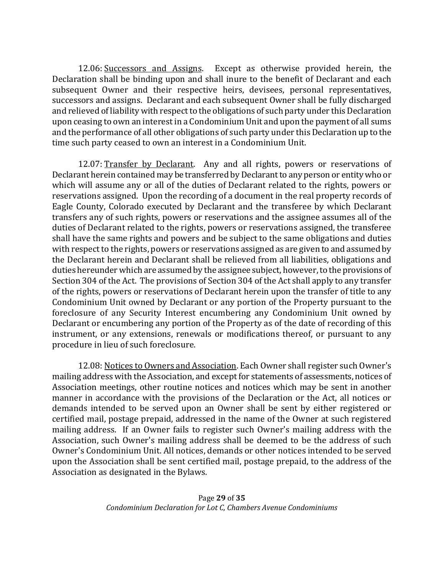12.06: Successors and Assigns. Except as otherwise provided herein, the Declaration shall be binding upon and shall inure to the benefit of Declarant and each subsequent Owner and their respective heirs, devisees, personal representatives, successors and assigns. Declarant and each subsequent Owner shall be fully discharged and relieved of liability with respect to the obligations of such party under this Declaration upon ceasing to own an interest in a Condominium Unit and upon the payment of all sums and the performance of all other obligations of such party under this Declaration up to the time such party ceased to own an interest in a Condominium Unit.

12.07: Transfer by Declarant. Any and all rights, powers or reservations of Declarant herein contained may be transferred by Declarant to any person or entity who or which will assume any or all of the duties of Declarant related to the rights, powers or reservations assigned. Upon the recording of a document in the real property records of Eagle County, Colorado executed by Declarant and the transferee by which Declarant transfers any of such rights, powers or reservations and the assignee assumes all of the duties of Declarant related to the rights, powers or reservations assigned, the transferee shall have the same rights and powers and be subject to the same obligations and duties with respect to the rights, powers or reservations assigned as are given to and assumed by the Declarant herein and Declarant shall be relieved from all liabilities, obligations and duties hereunder which are assumed by the assignee subject, however, to the provisions of Section 304 of the Act. The provisions of Section 304 of the Act shall apply to any transfer of the rights, powers or reservations of Declarant herein upon the transfer of title to any Condominium Unit owned by Declarant or any portion of the Property pursuant to the foreclosure of any Security Interest encumbering any Condominium Unit owned by Declarant or encumbering any portion of the Property as of the date of recording of this instrument, or any extensions, renewals or modifications thereof, or pursuant to any procedure in lieu of such foreclosure.

12.08: Notices to Owners and Association. Each Owner shall register such Owner's mailing address with the Association, and except for statements of assessments, notices of Association meetings, other routine notices and notices which may be sent in another manner in accordance with the provisions of the Declaration or the Act, all notices or demands intended to be served upon an Owner shall be sent by either registered or certified mail, postage prepaid, addressed in the name of the Owner at such registered mailing address. If an Owner fails to register such Owner's mailing address with the Association, such Owner's mailing address shall be deemed to be the address of such Owner's Condominium Unit. All notices, demands or other notices intended to be served upon the Association shall be sent certified mail, postage prepaid, to the address of the Association as designated in the Bylaws.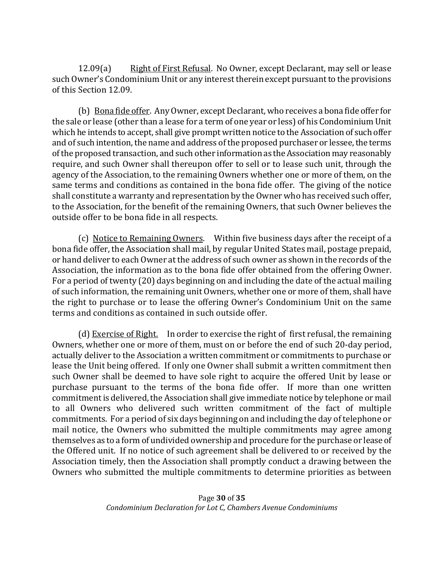12.09(a) Right of First Refusal. No Owner, except Declarant, may sell or lease such Owner's Condominium Unit or any interest therein except pursuant to the provisions of this Section 12.09.

(b) Bona fide offer. Any Owner, except Declarant, who receives a bona fide offer for the sale or lease (other than a lease for a term of one year or less) of his Condominium Unit which he intends to accept, shall give prompt written notice to the Association of such offer and of such intention, the name and address of the proposed purchaser or lessee, the terms of the proposed transaction, and such other information as the Association may reasonably require, and such Owner shall thereupon offer to sell or to lease such unit, through the agency of the Association, to the remaining Owners whether one or more of them, on the same terms and conditions as contained in the bona fide offer. The giving of the notice shall constitute a warranty and representation by the Owner who has received such offer, to the Association, for the benefit of the remaining Owners, that such Owner believes the outside offer to be bona fide in all respects.

(c) Notice to Remaining Owners. Within five business days after the receipt of a bona fide offer, the Association shall mail, by regular United States mail, postage prepaid, or hand deliver to each Owner at the address of such owner as shown in the records of the Association, the information as to the bona fide offer obtained from the offering Owner. For a period of twenty (20) days beginning on and including the date of the actual mailing of such information, the remaining unit Owners, whether one or more of them, shall have the right to purchase or to lease the offering Owner's Condominium Unit on the same terms and conditions as contained in such outside offer.

(d) Exercise of Right. In order to exercise the right of first refusal, the remaining Owners, whether one or more of them, must on or before the end of such 20-day period, actually deliver to the Association a written commitment or commitments to purchase or lease the Unit being offered. If only one Owner shall submit a written commitment then such Owner shall be deemed to have sole right to acquire the offered Unit by lease or purchase pursuant to the terms of the bona fide offer. If more than one written commitment is delivered, the Association shall give immediate notice by telephone or mail to all Owners who delivered such written commitment of the fact of multiple commitments. For a period of six days beginning on and including the day of telephone or mail notice, the Owners who submitted the multiple commitments may agree among themselves as to a form of undivided ownership and procedure for the purchase or lease of the Offered unit. If no notice of such agreement shall be delivered to or received by the Association timely, then the Association shall promptly conduct a drawing between the Owners who submitted the multiple commitments to determine priorities as between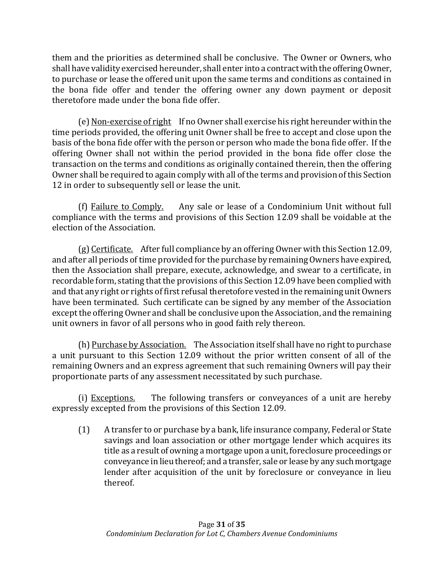them and the priorities as determined shall be conclusive. The Owner or Owners, who shall have validity exercised hereunder, shall enter into a contract with the offering Owner, to purchase or lease the offered unit upon the same terms and conditions as contained in the bona fide offer and tender the offering owner any down payment or deposit theretofore made under the bona fide offer.

(e) Non-exercise of right If no Owner shall exercise his right hereunder within the time periods provided, the offering unit Owner shall be free to accept and close upon the basis of the bona fide offer with the person or person who made the bona fide offer. If the offering Owner shall not within the period provided in the bona fide offer close the transaction on the terms and conditions as originally contained therein, then the offering Owner shall be required to again comply with all of the terms and provision of this Section 12 in order to subsequently sell or lease the unit.

(f) Failure to Comply. Any sale or lease of a Condominium Unit without full compliance with the terms and provisions of this Section 12.09 shall be voidable at the election of the Association.

(g) Certificate. After full compliance by an offering Owner with this Section 12.09, and after all periods of time provided for the purchase by remaining Owners have expired, then the Association shall prepare, execute, acknowledge, and swear to a certificate, in recordable form, stating that the provisions of this Section 12.09 have been complied with and that any right or rights of first refusal theretofore vested in the remaining unit Owners have been terminated. Such certificate can be signed by any member of the Association except the offering Owner and shall be conclusive upon the Association, and the remaining unit owners in favor of all persons who in good faith rely thereon.

(h) Purchase by Association. The Association itself shall have no right to purchase a unit pursuant to this Section 12.09 without the prior written consent of all of the remaining Owners and an express agreement that such remaining Owners will pay their proportionate parts of any assessment necessitated by such purchase.

(i) Exceptions. The following transfers or conveyances of a unit are hereby expressly excepted from the provisions of this Section 12.09.

(1) A transfer to or purchase by a bank, life insurance company, Federal or State savings and loan association or other mortgage lender which acquires its title as a result of owning a mortgage upon a unit, foreclosure proceedings or conveyance in lieu thereof; and a transfer, sale or lease by any such mortgage lender after acquisition of the unit by foreclosure or conveyance in lieu thereof.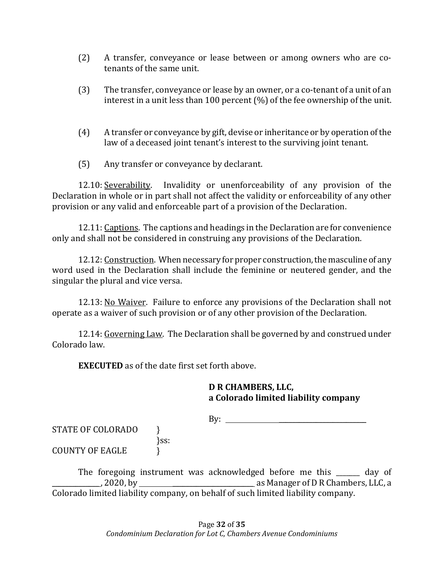- (2) A transfer, conveyance or lease between or among owners who are cotenants of the same unit.
- (3) The transfer, conveyance or lease by an owner, or a co-tenant of a unit of an interest in a unit less than 100 percent (%) of the fee ownership of the unit.
- (4) A transfer or conveyance by gift, devise or inheritance or by operation of the law of a deceased joint tenant's interest to the surviving joint tenant.
- (5) Any transfer or conveyance by declarant.

12.10: Severability. Invalidity or unenforceability of any provision of the Declaration in whole or in part shall not affect the validity or enforceability of any other provision or any valid and enforceable part of a provision of the Declaration.

12.11: Captions. The captions and headings in the Declaration are for convenience only and shall not be considered in construing any provisions of the Declaration.

12.12: Construction. When necessary for proper construction, the masculine of any word used in the Declaration shall include the feminine or neutered gender, and the singular the plural and vice versa.

12.13: No Waiver. Failure to enforce any provisions of the Declaration shall not operate as a waiver of such provision or of any other provision of the Declaration.

12.14: Governing Law. The Declaration shall be governed by and construed under Colorado law.

**EXECUTED** as of the date first set forth above.

### **D R CHAMBERS, LLC, a Colorado limited liability company**

 $\mathbf{By:} \qquad \qquad$ 

STATE OF COLORADO } }ss: COUNTY OF EAGLE  $\qquad \qquad$  }

The foregoing instrument was acknowledged before me this day of \_\_\_\_\_\_\_\_\_\_\_\_\_\_ , 2020, by \_\_\_\_\_\_\_\_\_\_\_\_\_\_\_\_\_\_\_\_\_\_\_\_ as Manager of D R Chambers, LLC, a Colorado limited liability company, on behalf of such limited liability company.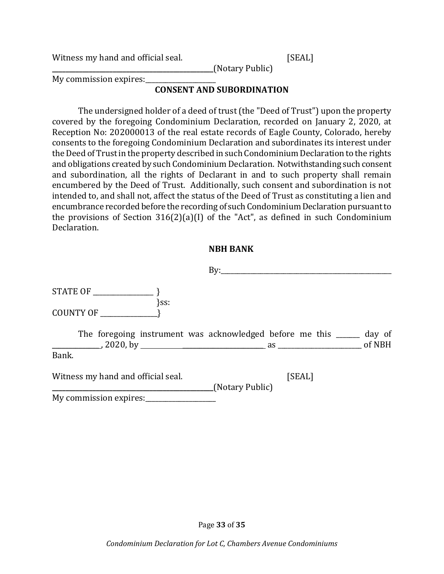Witness my hand and official seal. [SEAL]

My commission expires:

### **CONSENT AND SUBORDINATION**

**\_\_\_\_\_\_\_\_\_\_\_\_\_\_\_\_\_\_\_\_\_\_\_\_\_\_\_\_\_\_\_\_\_\_\_\_\_\_\_\_\_\_\_\_\_\_\_\_**(Notary Public)

The undersigned holder of a deed of trust (the "Deed of Trust") upon the property covered by the foregoing Condominium Declaration, recorded on January 2, 2020, at Reception No: 202000013 of the real estate records of Eagle County, Colorado, hereby consents to the foregoing Condominium Declaration and subordinates its interest under the Deed of Trust in the property described in such Condominium Declaration to the rights and obligations created by such Condominium Declaration. Notwithstanding such consent and subordination, all the rights of Declarant in and to such property shall remain encumbered by the Deed of Trust. Additionally, such consent and subordination is not intended to, and shall not, affect the status of the Deed of Trust as constituting a lien and encumbrance recorded before the recording of such Condominium Declaration pursuant to the provisions of Section 316(2)(a)(I) of the "Act", as defined in such Condominium Declaration.

#### **NBH BANK**

|                                    | Bv:                                                                                                                                                                         |        |
|------------------------------------|-----------------------------------------------------------------------------------------------------------------------------------------------------------------------------|--------|
|                                    |                                                                                                                                                                             |        |
| $\}$ ss:<br>COUNTY OF              |                                                                                                                                                                             |        |
|                                    | The foregoing instrument was acknowledged before me this ______<br>$\frac{1}{2020}$ , by $\frac{1}{2020}$ , by $\frac{1}{200}$ as $\frac{1}{200}$ as $\frac{1}{200}$ of NBH | day of |
| Bank.                              |                                                                                                                                                                             |        |
| Witness my hand and official seal. | [SEAL]<br>(Notary Public)                                                                                                                                                   |        |
| My commission expires:             |                                                                                                                                                                             |        |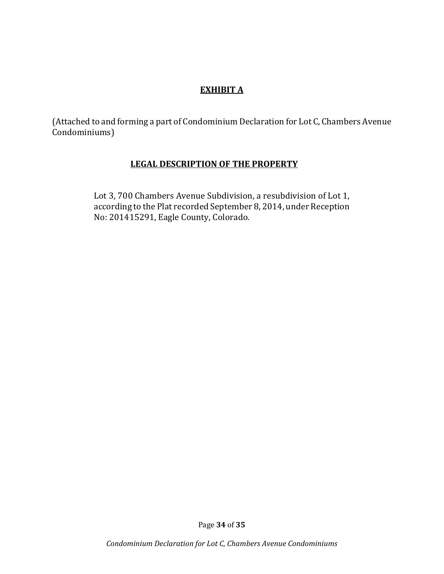# **EXHIBIT A**

(Attached to and forming a part of Condominium Declaration for Lot C, Chambers Avenue Condominiums)

### **LEGAL DESCRIPTION OF THE PROPERTY**

Lot 3, 700 Chambers Avenue Subdivision, a resubdivision of Lot 1, according to the Plat recorded September 8, 2014, under Reception No: 201415291, Eagle County, Colorado.